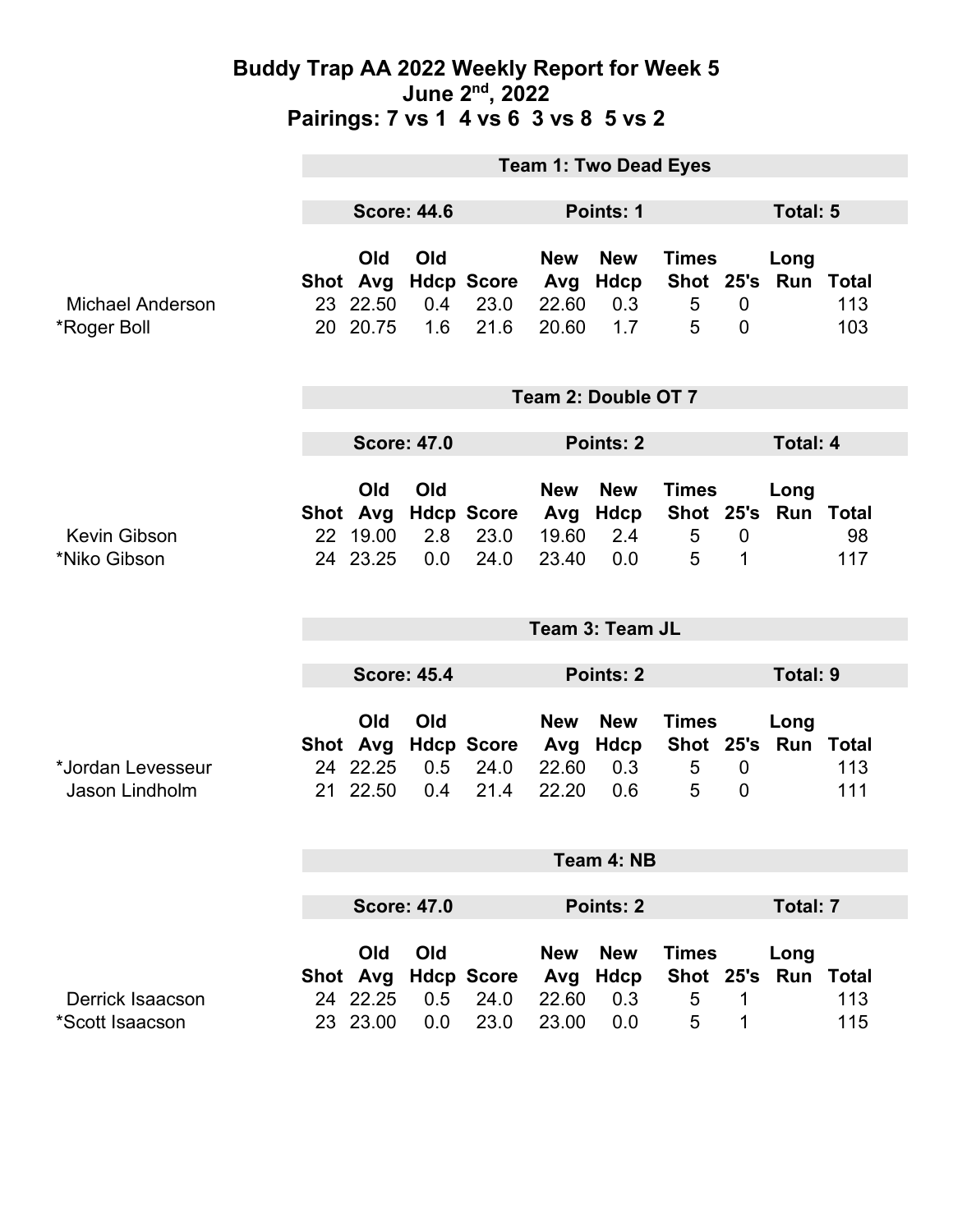### **Buddy Trap AA 2022 Weekly Report for Week 5 June 2nd, 2022 Pairings: 7 vs 1 4 vs 6 3 vs 8 5 vs 2**

|                                        | <b>Team 1: Two Dead Eyes</b> |                                         |                             |                                   |                                     |                                         |                                                  |                                    |                   |            |  |
|----------------------------------------|------------------------------|-----------------------------------------|-----------------------------|-----------------------------------|-------------------------------------|-----------------------------------------|--------------------------------------------------|------------------------------------|-------------------|------------|--|
|                                        | <b>Score: 44.6</b>           |                                         |                             |                                   | Points: 1                           |                                         |                                                  |                                    | Total: 5          |            |  |
| <b>Michael Anderson</b><br>*Roger Boll |                              | Old<br>Shot Avg<br>23 22.50<br>20 20.75 | Old<br>$0.4^{\circ}$<br>1.6 | <b>Hdcp Score</b><br>23.0<br>21.6 | <b>New</b><br>Avg<br>22.60<br>20.60 | <b>New</b><br>Hdcp<br>0.3<br>1.7        | <b>Times</b><br>Shot 25's<br>$\overline{5}$<br>5 | $\overline{0}$<br>$\mathbf 0$      | Long<br>Run Total | 113<br>103 |  |
|                                        | Team 2: Double OT 7          |                                         |                             |                                   |                                     |                                         |                                                  |                                    |                   |            |  |
|                                        | <b>Score: 47.0</b>           |                                         |                             |                                   | Points: 2                           |                                         |                                                  |                                    | <b>Total: 4</b>   |            |  |
| <b>Kevin Gibson</b><br>*Niko Gibson    |                              | Old<br>Shot Avg<br>22 19.00<br>24 23.25 | Old<br>2.8<br>0.0           | <b>Hdcp Score</b><br>23.0<br>24.0 | <b>New</b><br>Avg<br>19.60<br>23.40 | <b>New</b><br>Hdcp<br>2.4<br>0.0        | <b>Times</b><br>Shot 25's Run Total<br>5<br>5    | $\mathbf 0$<br>1                   | Long              | 98<br>117  |  |
|                                        | Team 3: Team JL              |                                         |                             |                                   |                                     |                                         |                                                  |                                    |                   |            |  |
|                                        | <b>Score: 45.4</b>           |                                         |                             | Points: 2                         |                                     |                                         |                                                  | <b>Total: 9</b>                    |                   |            |  |
| *Jordan Levesseur<br>Jason Lindholm    |                              | Old<br>Shot Avg<br>24 22.25<br>21 22.50 | Old<br>0.5<br>0.4           | <b>Hdcp Score</b><br>24.0<br>21.4 | <b>New</b><br>Avg<br>22.60<br>22.20 | <b>New</b><br><b>Hdcp</b><br>0.3<br>0.6 | <b>Times</b><br>Shot 25's<br>5<br>5              | $\boldsymbol{0}$<br>$\overline{0}$ | Long<br>Run Total | 113<br>111 |  |
|                                        | Team 4: NB                   |                                         |                             |                                   |                                     |                                         |                                                  |                                    |                   |            |  |
|                                        | <b>Score: 47.0</b>           |                                         |                             |                                   | Points: 2                           |                                         |                                                  |                                    | <b>Total: 7</b>   |            |  |
| Derrick Isaacson<br>*Scott Isaacson    |                              | Old<br>Shot Avg<br>24 22.25<br>23 23.00 | Old<br>0.5<br>0.0           | <b>Hdcp Score</b><br>24.0<br>23.0 | <b>New</b><br>Avg<br>22.60<br>23.00 | <b>New</b><br><b>Hdcp</b><br>0.3<br>0.0 | <b>Times</b><br>Shot 25's Run Total<br>5<br>5    | 1<br>1                             | Long              | 113<br>115 |  |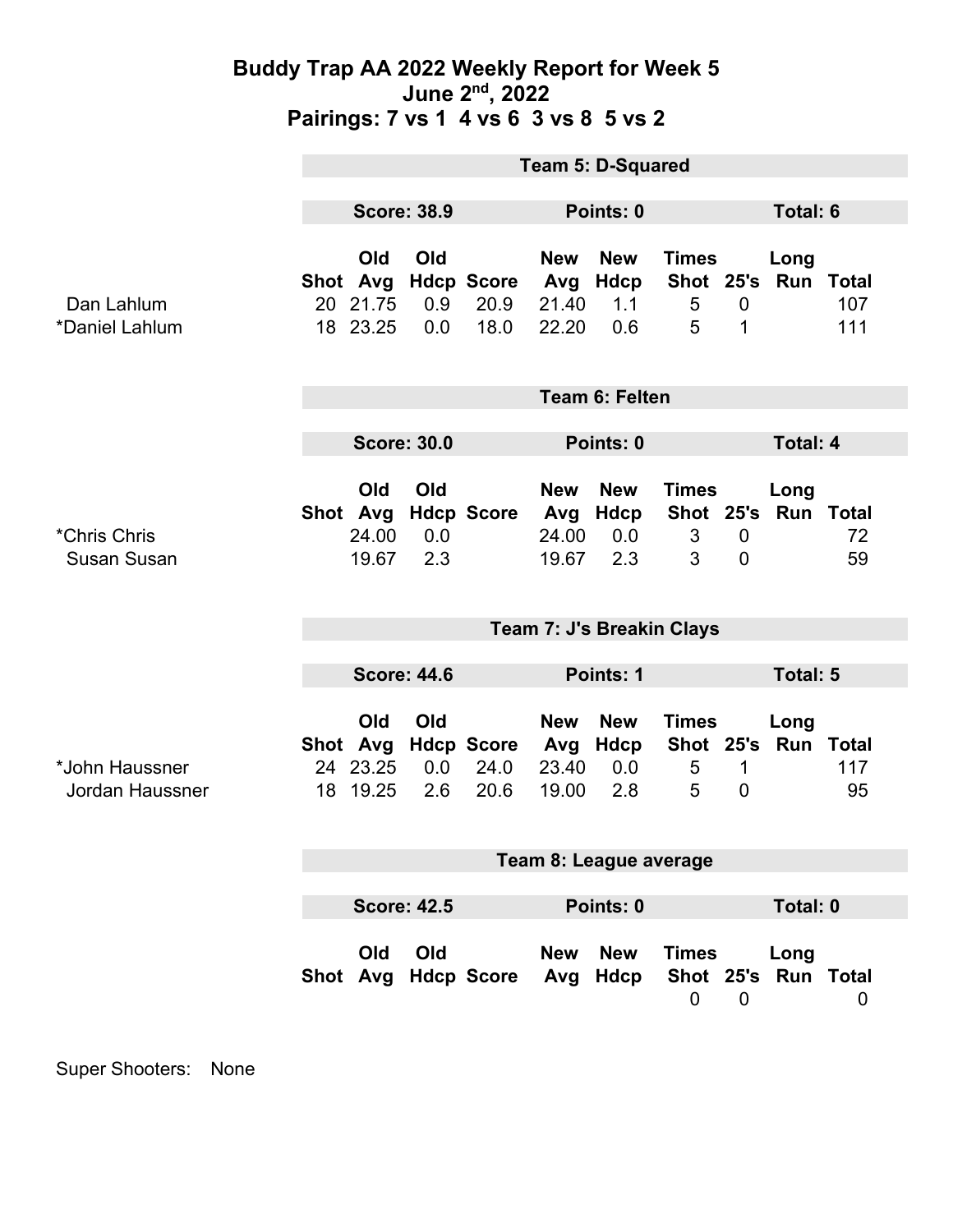### **Buddy Trap AA 2022 Weekly Report for Week 5 June 2nd, 2022 Pairings: 7 vs 1 4 vs 6 3 vs 8 5 vs 2**

|                                    | <b>Team 5: D-Squared</b>  |                                         |                   |                                   |                                     |                                  |                             |                               |                             |            |
|------------------------------------|---------------------------|-----------------------------------------|-------------------|-----------------------------------|-------------------------------------|----------------------------------|-----------------------------|-------------------------------|-----------------------------|------------|
|                                    | <b>Score: 38.9</b>        |                                         |                   | Points: 0                         |                                     |                                  |                             | <b>Total: 6</b>               |                             |            |
| Dan Lahlum<br>*Daniel Lahlum       |                           | Old<br>Shot Avg<br>20 21.75<br>18 23.25 | Old<br>0.9<br>0.0 | <b>Hdcp Score</b><br>20.9<br>18.0 | <b>New</b><br>Avg<br>21.40<br>22.20 | <b>New</b><br>Hdcp<br>1.1<br>0.6 | <b>Times</b><br>5<br>5      | $\overline{0}$<br>1           | Long<br>Shot 25's Run Total | 107<br>111 |
|                                    | <b>Team 6: Felten</b>     |                                         |                   |                                   |                                     |                                  |                             |                               |                             |            |
|                                    | <b>Score: 30.0</b>        |                                         |                   |                                   | Points: 0                           |                                  |                             | <b>Total: 4</b>               |                             |            |
| *Chris Chris<br><b>Susan Susan</b> |                           | Old<br>Shot Avg<br>24.00<br>19.67       | Old<br>0.0<br>2.3 | <b>Hdcp Score</b>                 | <b>New</b><br>Avg<br>24.00<br>19.67 | <b>New</b><br>Hdcp<br>0.0<br>2.3 | <b>Times</b><br>3<br>3      | $\mathbf 0$<br>$\overline{0}$ | Long<br>Shot 25's Run Total | 72<br>59   |
|                                    | Team 7: J's Breakin Clays |                                         |                   |                                   |                                     |                                  |                             |                               |                             |            |
|                                    | <b>Score: 44.6</b>        |                                         |                   |                                   | <b>Points: 1</b>                    |                                  |                             | <b>Total: 5</b>               |                             |            |
| *John Haussner<br>Jordan Haussner  |                           | Old<br>Shot Avg<br>24 23.25<br>18 19.25 | Old<br>0.0<br>2.6 | <b>Hdcp Score</b><br>24.0<br>20.6 | <b>New</b><br>Avg<br>23.40<br>19.00 | <b>New</b><br>Hdcp<br>0.0<br>2.8 | <b>Times</b><br>5<br>5      | 1<br>$\mathbf 0$              | Long<br>Shot 25's Run Total | 117<br>95  |
|                                    | Team 8: League average    |                                         |                   |                                   |                                     |                                  |                             |                               |                             |            |
|                                    | <b>Score: 42.5</b>        |                                         |                   |                                   | Points: 0                           |                                  |                             | <b>Total: 0</b>               |                             |            |
|                                    |                           | Old                                     | Old               | Shot Avg Hdcp Score Avg Hdcp      | <b>New</b>                          | New                              | <b>Times</b><br>$\mathbf 0$ | $\overline{0}$                | Long<br>Shot 25's Run Total | 0          |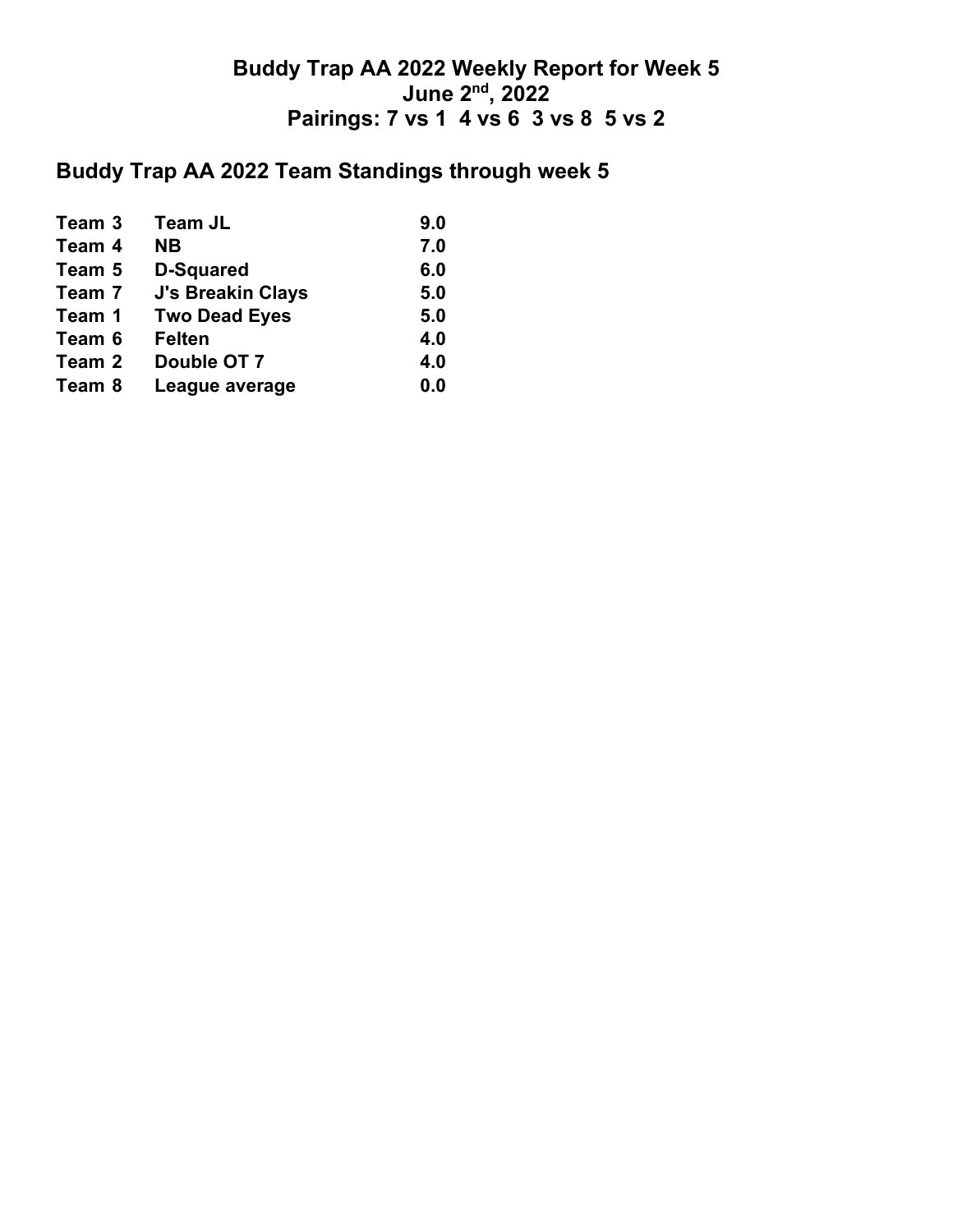### **Buddy Trap AA 2022 Weekly Report for Week 5 June 2nd, 2022 Pairings: 7 vs 1 4 vs 6 3 vs 8 5 vs 2**

## **Buddy Trap AA 2022 Team Standings through week 5**

| Team 3 | <b>Team JL</b>           | 9.0 |
|--------|--------------------------|-----|
| Team 4 | <b>NB</b>                | 7.0 |
| Team 5 | <b>D-Squared</b>         | 6.0 |
| Team 7 | <b>J's Breakin Clays</b> | 5.0 |
| Team 1 | <b>Two Dead Eyes</b>     | 5.0 |
| Team 6 | <b>Felten</b>            | 4.0 |
| Team 2 | Double OT 7              | 4.0 |
| Team 8 | League average           | 0.0 |